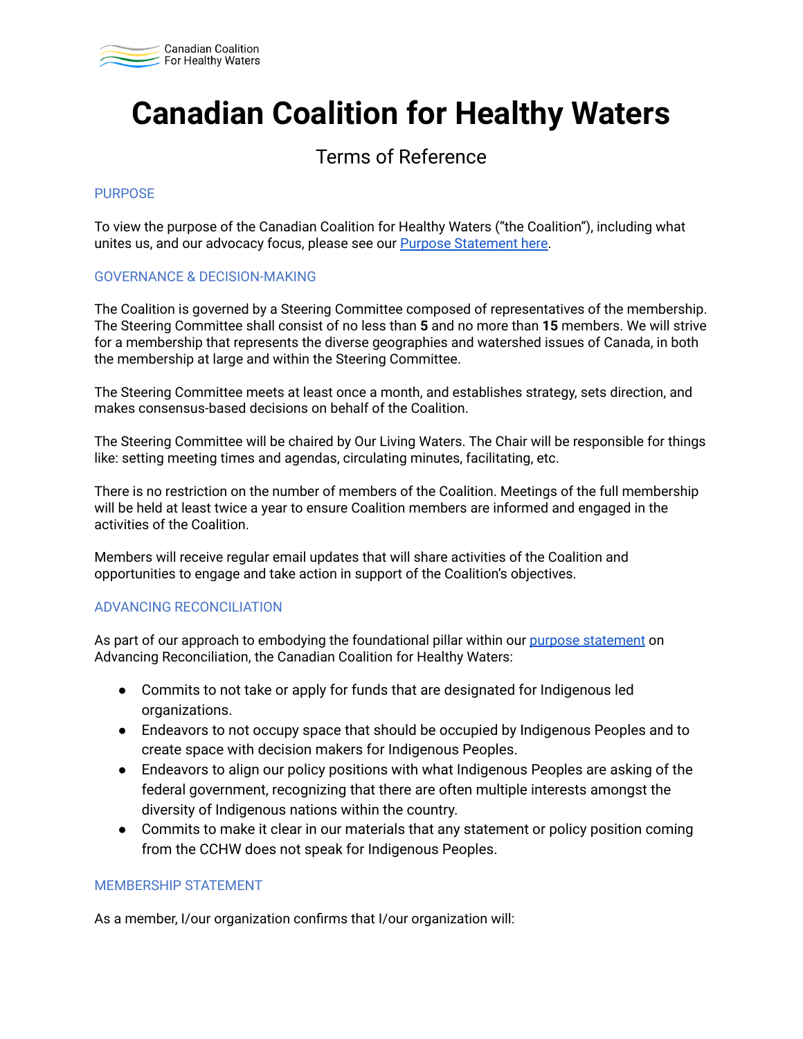

# **Canadian Coalition for Healthy Waters**

### Terms of Reference

### PURPOSE

To view the purpose of the Canadian Coalition for Healthy Waters ("the Coalition"), including what unites us, and our advocacy focus, please see our [Purpose Statement here.](https://docs.google.com/document/d/1JkI3-ttMPKXcnYFVIKM6VJ6hSJl0T3K2IQca00O6BrM/edit#)

### GOVERNANCE & DECISION-MAKING

The Coalition is governed by a Steering Committee composed of representatives of the membership. The Steering Committee shall consist of no less than **5** and no more than **15** members. We will strive for a membership that represents the diverse geographies and watershed issues of Canada, in both the membership at large and within the Steering Committee.

The Steering Committee meets at least once a month, and establishes strategy, sets direction, and makes consensus-based decisions on behalf of the Coalition.

The Steering Committee will be chaired by Our Living Waters. The Chair will be responsible for things like: setting meeting times and agendas, circulating minutes, facilitating, etc.

There is no restriction on the number of members of the Coalition. Meetings of the full membership will be held at least twice a year to ensure Coalition members are informed and engaged in the activities of the Coalition.

Members will receive regular email updates that will share activities of the Coalition and opportunities to engage and take action in support of the Coalition's objectives.

### ADVANCING RECONCILIATION

As part of our approach to embodying the foundational pillar within our [purpose statement](https://docs.google.com/document/d/1JkI3-ttMPKXcnYFVIKM6VJ6hSJl0T3K2IQca00O6BrM/edit#) on Advancing Reconciliation, the Canadian Coalition for Healthy Waters:

- Commits to not take or apply for funds that are designated for Indigenous led organizations.
- Endeavors to not occupy space that should be occupied by Indigenous Peoples and to create space with decision makers for Indigenous Peoples.
- Endeavors to align our policy positions with what Indigenous Peoples are asking of the federal government, recognizing that there are often multiple interests amongst the diversity of Indigenous nations within the country.
- Commits to make it clear in our materials that any statement or policy position coming from the CCHW does not speak for Indigenous Peoples.

### MEMBERSHIP STATEMENT

As a member, I/our organization confirms that I/our organization will: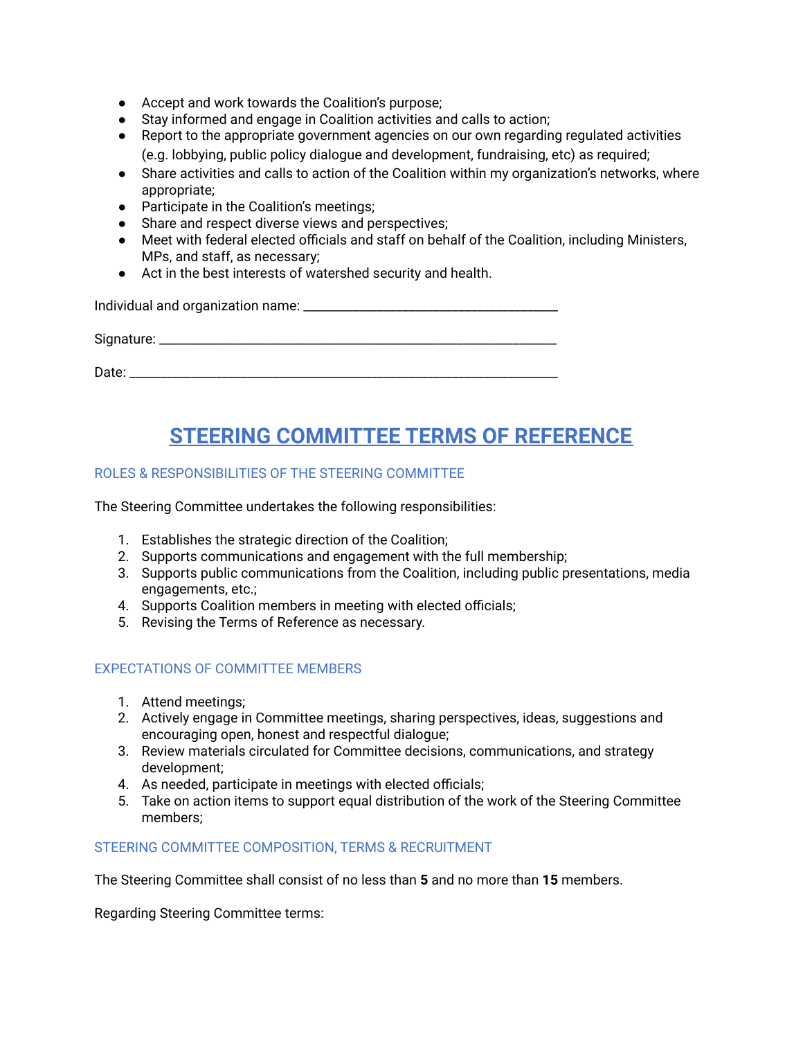- Accept and work towards the Coalition's purpose;
- Stay informed and engage in Coalition activities and calls to action;
- Report to the appropriate government agencies on our own regarding regulated activities (e.g. lobbying, public policy dialogue and development, fundraising, etc) as required;
- Share activities and calls to action of the Coalition within my organization's networks, where appropriate;
- Participate in the Coalition's meetings;
- Share and respect diverse views and perspectives;
- Meet with federal elected officials and staff on behalf of the Coalition, including Ministers, MPs, and staff, as necessary;
- Act in the best interests of watershed security and health.

Individual and organization name: \_\_\_\_\_\_\_\_\_\_\_\_\_\_\_\_\_\_\_\_\_\_\_\_\_\_\_\_\_\_\_\_\_\_\_\_\_\_\_\_\_

Signature: \_\_\_\_\_\_\_\_\_\_\_\_\_\_\_\_\_\_\_\_\_\_\_\_\_\_\_\_\_\_\_\_\_\_\_\_\_\_\_\_\_\_\_\_\_\_\_\_\_\_\_\_\_\_\_\_\_\_\_\_\_\_\_\_

Date:  $\Box$ 

## **STEERING COMMITTEE TERMS OF REFERENCE**

### ROLES & RESPONSIBILITIES OF THE STEERING COMMITTEE

The Steering Committee undertakes the following responsibilities:

- 1. Establishes the strategic direction of the Coalition;
- 2. Supports communications and engagement with the full membership;
- 3. Supports public communications from the Coalition, including public presentations, media engagements, etc.;
- 4. Supports Coalition members in meeting with elected officials;
- 5. Revising the Terms of Reference as necessary.

### EXPECTATIONS OF COMMITTEE MEMBERS

- 1. Attend meetings;
- 2. Actively engage in Committee meetings, sharing perspectives, ideas, suggestions and encouraging open, honest and respectful dialogue;
- 3. Review materials circulated for Committee decisions, communications, and strategy development;
- 4. As needed, participate in meetings with elected officials;
- 5. Take on action items to support equal distribution of the work of the Steering Committee members;

### STEERING COMMITTEE COMPOSITION, TERMS & RECRUITMENT

The Steering Committee shall consist of no less than **5** and no more than **15** members.

Regarding Steering Committee terms: